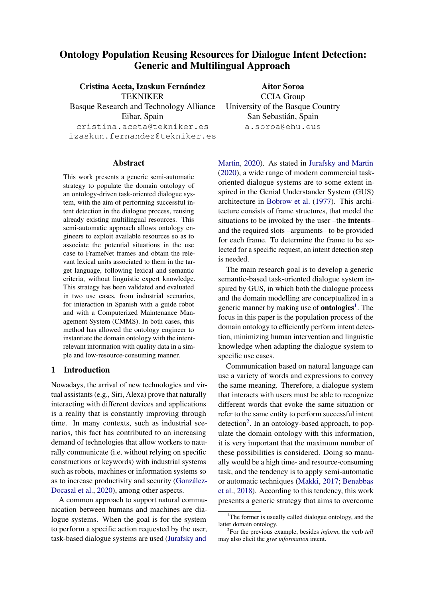# Ontology Population Reusing Resources for Dialogue Intent Detection: Generic and Multilingual Approach

Cristina Aceta, Izaskun Fernández TEKNIKER Basque Research and Technology Alliance Eibar, Spain cristina.aceta@tekniker.es izaskun.fernandez@tekniker.es

#### Abstract

This work presents a generic semi-automatic strategy to populate the domain ontology of an ontology-driven task-oriented dialogue system, with the aim of performing successful intent detection in the dialogue process, reusing already existing multilingual resources. This semi-automatic approach allows ontology engineers to exploit available resources so as to associate the potential situations in the use case to FrameNet frames and obtain the relevant lexical units associated to them in the target language, following lexical and semantic criteria, without linguistic expert knowledge. This strategy has been validated and evaluated in two use cases, from industrial scenarios, for interaction in Spanish with a guide robot and with a Computerized Maintenance Management System (CMMS). In both cases, this method has allowed the ontology engineer to instantiate the domain ontology with the intentrelevant information with quality data in a simple and low-resource-consuming manner.

### 1 Introduction

Nowadays, the arrival of new technologies and virtual assistants (e.g., Siri, Alexa) prove that naturally interacting with different devices and applications is a reality that is constantly improving through time. In many contexts, such as industrial scenarios, this fact has contributed to an increasing demand of technologies that allow workers to naturally communicate (i.e, without relying on specific constructions or keywords) with industrial systems such as robots, machines or information systems so as to increase productivity and security (González-[Docasal et al.,](#page-7-0) [2020\)](#page-7-0), among other aspects.

A common approach to support natural communication between humans and machines are dialogue systems. When the goal is for the system to perform a specific action requested by the user, task-based dialogue systems are used [\(Jurafsky and](#page-7-1)

Aitor Soroa CCIA Group University of the Basque Country San Sebastian, Spain ´ a.soroa@ehu.eus

[Martin,](#page-7-1) [2020\)](#page-7-1). As stated in [Jurafsky and Martin](#page-7-1) [\(2020\)](#page-7-1), a wide range of modern commercial taskoriented dialogue systems are to some extent inspired in the Genial Understander System (GUS) architecture in [Bobrow et al.](#page-7-2) [\(1977\)](#page-7-2). This architecture consists of frame structures, that model the situations to be invoked by the user –the intents– and the required slots –arguments– to be provided for each frame. To determine the frame to be selected for a specific request, an intent detection step is needed.

The main research goal is to develop a generic semantic-based task-oriented dialogue system inspired by GUS, in which both the dialogue process and the domain modelling are conceptualized in a generic manner by making use of **ontologies**<sup>[1](#page-0-0)</sup>. The focus in this paper is the population process of the domain ontology to efficiently perform intent detection, minimizing human intervention and linguistic knowledge when adapting the dialogue system to specific use cases.

Communication based on natural language can use a variety of words and expressions to convey the same meaning. Therefore, a dialogue system that interacts with users must be able to recognize different words that evoke the same situation or refer to the same entity to perform successful intent detection<sup>[2](#page-0-1)</sup>. In an ontology-based approach, to populate the domain ontology with this information, it is very important that the maximum number of these possibilities is considered. Doing so manually would be a high time- and resource-consuming task, and the tendency is to apply semi-automatic or automatic techniques [\(Makki,](#page-7-3) [2017;](#page-7-3) [Benabbas](#page-7-4) [et al.,](#page-7-4) [2018\)](#page-7-4). According to this tendency, this work presents a generic strategy that aims to overcome

<span id="page-0-0"></span><sup>&</sup>lt;sup>1</sup>The former is usually called dialogue ontology, and the latter domain ontology.

<span id="page-0-1"></span><sup>2</sup> For the previous example, besides *inform*, the verb *tell* may also elicit the *give information* intent.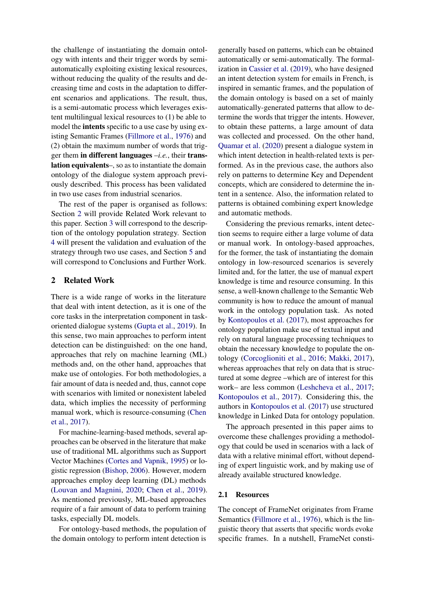the challenge of instantiating the domain ontology with intents and their trigger words by semiautomatically exploiting existing lexical resources, without reducing the quality of the results and decreasing time and costs in the adaptation to different scenarios and applications. The result, thus, is a semi-automatic process which leverages existent multilingual lexical resources to (1) be able to model the intents specific to a use case by using existing Semantic Frames [\(Fillmore et al.,](#page-7-5) [1976\)](#page-7-5) and (2) obtain the maximum number of words that trigger them in different languages –*i.e.*, their translation equivalents–, so as to instantiate the domain ontology of the dialogue system approach previously described. This process has been validated in two use cases from industrial scenarios.

The rest of the paper is organised as follows: Section [2](#page-1-0) will provide Related Work relevant to this paper. Section [3](#page-2-0) will correspond to the description of the ontology population strategy. Section [4](#page-4-0) will present the validation and evaluation of the strategy through two use cases, and Section [5](#page-6-0) and will correspond to Conclusions and Further Work.

#### <span id="page-1-0"></span>2 Related Work

There is a wide range of works in the literature that deal with intent detection, as it is one of the core tasks in the interpretation component in taskoriented dialogue systems [\(Gupta et al.,](#page-7-6) [2019\)](#page-7-6). In this sense, two main approaches to perform intent detection can be distinguished: on the one hand, approaches that rely on machine learning (ML) methods and, on the other hand, approaches that make use of ontologies. For both methodologies, a fair amount of data is needed and, thus, cannot cope with scenarios with limited or nonexistent labeled data, which implies the necessity of performing manual work, which is resource-consuming [\(Chen](#page-7-7) [et al.,](#page-7-7) [2017\)](#page-7-7).

For machine-learning-based methods, several approaches can be observed in the literature that make use of traditional ML algorithms such as Support Vector Machines [\(Cortes and Vapnik,](#page-7-8) [1995\)](#page-7-8) or logistic regression [\(Bishop,](#page-7-9) [2006\)](#page-7-9). However, modern approaches employ deep learning (DL) methods [\(Louvan and Magnini,](#page-7-10) [2020;](#page-7-10) [Chen et al.,](#page-7-11) [2019\)](#page-7-11). As mentioned previously, ML-based approaches require of a fair amount of data to perform training tasks, especially DL models.

For ontology-based methods, the population of the domain ontology to perform intent detection is

generally based on patterns, which can be obtained automatically or semi-automatically. The formalization in [Cassier et al.](#page-7-12) [\(2019\)](#page-7-12), who have designed an intent detection system for emails in French, is inspired in semantic frames, and the population of the domain ontology is based on a set of mainly automatically-generated patterns that allow to determine the words that trigger the intents. However, to obtain these patterns, a large amount of data was collected and processed. On the other hand, [Quamar et al.](#page-8-0) [\(2020\)](#page-8-0) present a dialogue system in which intent detection in health-related texts is performed. As in the previous case, the authors also rely on patterns to determine Key and Dependent concepts, which are considered to determine the intent in a sentence. Also, the information related to patterns is obtained combining expert knowledge and automatic methods.

Considering the previous remarks, intent detection seems to require either a large volume of data or manual work. In ontology-based approaches, for the former, the task of instantiating the domain ontology in low-resourced scenarios is severely limited and, for the latter, the use of manual expert knowledge is time and resource consuming. In this sense, a well-known challenge to the Semantic Web community is how to reduce the amount of manual work in the ontology population task. As noted by [Kontopoulos et al.](#page-7-13) [\(2017\)](#page-7-13), most approaches for ontology population make use of textual input and rely on natural language processing techniques to obtain the necessary knowledge to populate the ontology [\(Corcoglioniti et al.,](#page-7-14) [2016;](#page-7-14) [Makki,](#page-7-3) [2017\)](#page-7-3), whereas approaches that rely on data that is structured at some degree –which are of interest for this work– are less common [\(Leshcheva et al.,](#page-7-15) [2017;](#page-7-15) [Kontopoulos et al.,](#page-7-13) [2017\)](#page-7-13). Considering this, the authors in [Kontopoulos et al.](#page-7-13) [\(2017\)](#page-7-13) use structured knowledge in Linked Data for ontology population.

The approach presented in this paper aims to overcome these challenges providing a methodology that could be used in scenarios with a lack of data with a relative minimal effort, without depending of expert linguistic work, and by making use of already available structured knowledge.

#### 2.1 Resources

The concept of FrameNet originates from Frame Semantics [\(Fillmore et al.,](#page-7-5) [1976\)](#page-7-5), which is the linguistic theory that asserts that specific words evoke specific frames. In a nutshell, FrameNet consti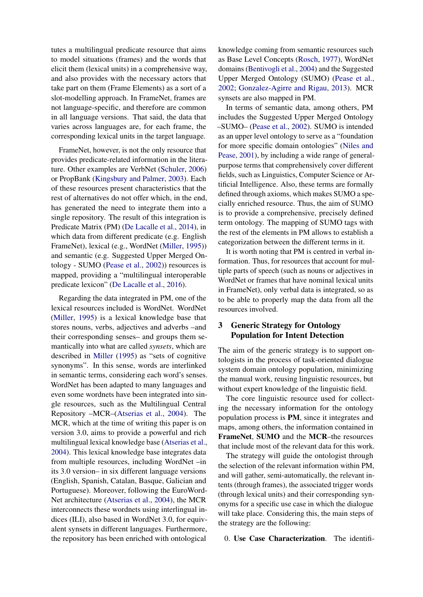tutes a multilingual predicate resource that aims to model situations (frames) and the words that elicit them (lexical units) in a comprehensive way, and also provides with the necessary actors that take part on them (Frame Elements) as a sort of a slot-modelling approach. In FrameNet, frames are not language-specific, and therefore are common in all language versions. That said, the data that varies across languages are, for each frame, the corresponding lexical units in the target language.

FrameNet, however, is not the only resource that provides predicate-related information in the literature. Other examples are VerbNet [\(Schuler,](#page-8-1) [2006\)](#page-8-1) or PropBank [\(Kingsbury and Palmer,](#page-7-16) [2003\)](#page-7-16). Each of these resources present characteristics that the rest of alternatives do not offer which, in the end, has generated the need to integrate them into a single repository. The result of this integration is Predicate Matrix (PM) [\(De Lacalle et al.,](#page-7-17) [2014\)](#page-7-17), in which data from different predicate (e.g. English FrameNet), lexical (e.g., WordNet [\(Miller,](#page-7-18) [1995\)](#page-7-18)) and semantic (e.g. Suggested Upper Merged Ontology - SUMO [\(Pease et al.,](#page-8-2) [2002\)](#page-8-2)) resources is mapped, providing a "multilingual interoperable predicate lexicon" [\(De Lacalle et al.,](#page-7-19) [2016\)](#page-7-19).

Regarding the data integrated in PM, one of the lexical resources included is WordNet. WordNet [\(Miller,](#page-7-18) [1995\)](#page-7-18) is a lexical knowledge base that stores nouns, verbs, adjectives and adverbs –and their corresponding senses– and groups them semantically into what are called *synsets*, which are described in [Miller](#page-7-18) [\(1995\)](#page-7-18) as "sets of cognitive synonyms". In this sense, words are interlinked in semantic terms, considering each word's senses. WordNet has been adapted to many languages and even some wordnets have been integrated into single resources, such as the Multilingual Central Repository –MCR–[\(Atserias et al.,](#page-7-20) [2004\)](#page-7-20). The MCR, which at the time of writing this paper is on version 3.0, aims to provide a powerful and rich multilingual lexical knowledge base [\(Atserias et al.,](#page-7-20) [2004\)](#page-7-20). This lexical knowledge base integrates data from multiple resources, including WordNet –in its 3.0 version– in six different language versions (English, Spanish, Catalan, Basque, Galician and Portuguese). Moreover, following the EuroWord-Net architecture [\(Atserias et al.,](#page-7-20) [2004\)](#page-7-20), the MCR interconnects these wordnets using interlingual indices (ILI), also based in WordNet 3.0, for equivalent synsets in different languages. Furthermore, the repository has been enriched with ontological

knowledge coming from semantic resources such as Base Level Concepts [\(Rosch,](#page-8-3) [1977\)](#page-8-3), WordNet domains [\(Bentivogli et al.,](#page-7-21) [2004\)](#page-7-21) and the Suggested Upper Merged Ontology (SUMO) [\(Pease et al.,](#page-8-2) [2002;](#page-8-2) [Gonzalez-Agirre and Rigau,](#page-7-22) [2013\)](#page-7-22). MCR synsets are also mapped in PM.

In terms of semantic data, among others, PM includes the Suggested Upper Merged Ontology –SUMO– [\(Pease et al.,](#page-8-2) [2002\)](#page-8-2). SUMO is intended as an upper level ontology to serve as a "foundation for more specific domain ontologies" [\(Niles and](#page-7-23) [Pease,](#page-7-23) [2001\)](#page-7-23), by including a wide range of generalpurpose terms that comprehensively cover different fields, such as Linguistics, Computer Science or Artificial Intelligence. Also, these terms are formally defined through axioms, which makes SUMO a specially enriched resource. Thus, the aim of SUMO is to provide a comprehensive, precisely defined term ontology. The mapping of SUMO tags with the rest of the elements in PM allows to establish a categorization between the different terms in it.

It is worth noting that PM is centred in verbal information. Thus, for resources that account for multiple parts of speech (such as nouns or adjectives in WordNet or frames that have nominal lexical units in FrameNet), only verbal data is integrated, so as to be able to properly map the data from all the resources involved.

### <span id="page-2-0"></span>3 Generic Strategy for Ontology Population for Intent Detection

The aim of the generic strategy is to support ontologists in the process of task-oriented dialogue system domain ontology population, minimizing the manual work, reusing linguistic resources, but without expert knowledge of the linguistic field.

The core linguistic resource used for collecting the necessary information for the ontology population process is PM, since it integrates and maps, among others, the information contained in FrameNet, SUMO and the MCR–the resources that include most of the relevant data for this work.

The strategy will guide the ontologist through the selection of the relevant information within PM, and will gather, semi-automatically, the relevant intents (through frames), the associated trigger words (through lexical units) and their corresponding synonyms for a specific use case in which the dialogue will take place. Considering this, the main steps of the strategy are the following:

0. Use Case Characterization. The identifi-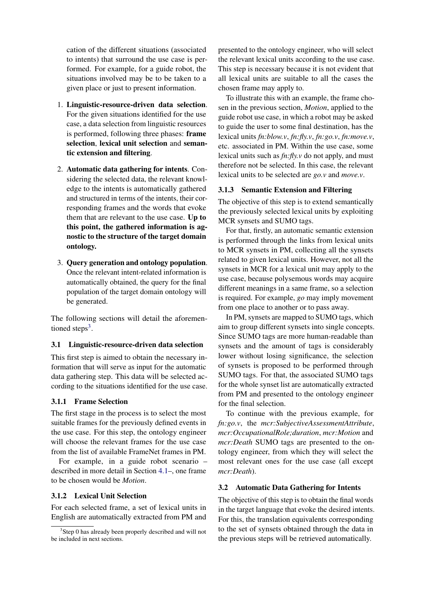cation of the different situations (associated to intents) that surround the use case is performed. For example, for a guide robot, the situations involved may be to be taken to a given place or just to present information.

- 1. Linguistic-resource-driven data selection. For the given situations identified for the use case, a data selection from linguistic resources is performed, following three phases: frame selection, lexical unit selection and semantic extension and filtering.
- 2. Automatic data gathering for intents. Considering the selected data, the relevant knowledge to the intents is automatically gathered and structured in terms of the intents, their corresponding frames and the words that evoke them that are relevant to the use case. Up to this point, the gathered information is agnostic to the structure of the target domain ontology.
- 3. Query generation and ontology population. Once the relevant intent-related information is automatically obtained, the query for the final population of the target domain ontology will be generated.

The following sections will detail the aforemen-tioned steps<sup>[3](#page-3-0)</sup>.

#### 3.1 Linguistic-resource-driven data selection

This first step is aimed to obtain the necessary information that will serve as input for the automatic data gathering step. This data will be selected according to the situations identified for the use case.

### 3.1.1 Frame Selection

The first stage in the process is to select the most suitable frames for the previously defined events in the use case. For this step, the ontology engineer will choose the relevant frames for the use case from the list of available FrameNet frames in PM.

For example, in a guide robot scenario – described in more detail in Section [4.1–](#page-4-1), one frame to be chosen would be *Motion*.

#### 3.1.2 Lexical Unit Selection

For each selected frame, a set of lexical units in English are automatically extracted from PM and presented to the ontology engineer, who will select the relevant lexical units according to the use case. This step is necessary because it is not evident that all lexical units are suitable to all the cases the chosen frame may apply to.

To illustrate this with an example, the frame chosen in the previous section, *Motion*, applied to the guide robot use case, in which a robot may be asked to guide the user to some final destination, has the lexical units *fn:blow.v*, *fn:fly.v*, *fn:go.v*, *fn:move.v*, etc. associated in PM. Within the use case, some lexical units such as *fn:fly.v* do not apply, and must therefore not be selected. In this case, the relevant lexical units to be selected are *go.v* and *move.v*.

### 3.1.3 Semantic Extension and Filtering

The objective of this step is to extend semantically the previously selected lexical units by exploiting MCR synsets and SUMO tags.

For that, firstly, an automatic semantic extension is performed through the links from lexical units to MCR synsets in PM, collecting all the synsets related to given lexical units. However, not all the synsets in MCR for a lexical unit may apply to the use case, because polysemous words may acquire different meanings in a same frame, so a selection is required. For example, *go* may imply movement from one place to another or to pass away.

In PM, synsets are mapped to SUMO tags, which aim to group different synsets into single concepts. Since SUMO tags are more human-readable than synsets and the amount of tags is considerably lower without losing significance, the selection of synsets is proposed to be performed through SUMO tags. For that, the associated SUMO tags for the whole synset list are automatically extracted from PM and presented to the ontology engineer for the final selection.

To continue with the previous example, for *fn:go.v*, the *mcr:SubjectiveAssessmentAttribute*, *mcr:OccupationalRole;duration*, *mcr:Motion* and *mcr:Death* SUMO tags are presented to the ontology engineer, from which they will select the most relevant ones for the use case (all except *mcr:Death*).

### 3.2 Automatic Data Gathering for Intents

The objective of this step is to obtain the final words in the target language that evoke the desired intents. For this, the translation equivalents corresponding to the set of synsets obtained through the data in the previous steps will be retrieved automatically.

<span id="page-3-0"></span><sup>&</sup>lt;sup>3</sup>Step 0 has already been properly described and will not be included in next sections.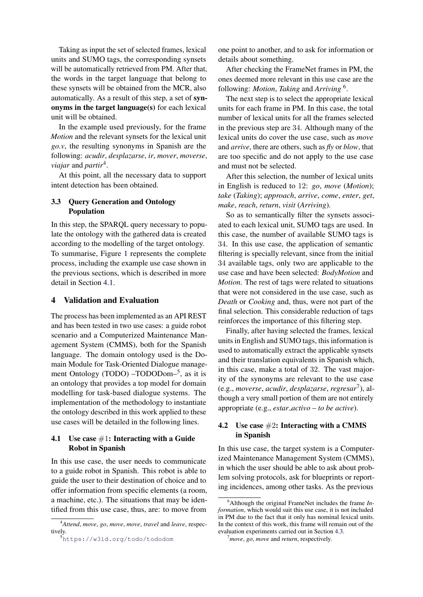Taking as input the set of selected frames, lexical units and SUMO tags, the corresponding synsets will be automatically retrieved from PM. After that, the words in the target language that belong to these synsets will be obtained from the MCR, also automatically. As a result of this step, a set of synonyms in the target language(s) for each lexical unit will be obtained.

In the example used previously, for the frame *Motion* and the relevant synsets for the lexical unit *go.v*, the resulting synonyms in Spanish are the following: *acudir*, *desplazarse*, *ir*, *mover*, *moverse*, *viajar* and *partir*[4](#page-4-2) .

At this point, all the necessary data to support intent detection has been obtained.

### 3.3 Query Generation and Ontology Population

In this step, the SPARQL query necessary to populate the ontology with the gathered data is created according to the modelling of the target ontology. To summarise, Figure [1](#page-5-0) represents the complete process, including the example use case shown in the previous sections, which is described in more detail in Section [4.1.](#page-4-1)

### <span id="page-4-0"></span>4 Validation and Evaluation

The process has been implemented as an API REST and has been tested in two use cases: a guide robot scenario and a Computerized Maintenance Management System (CMMS), both for the Spanish language. The domain ontology used is the Domain Module for Task-Oriented Dialogue manage-ment Ontology (TODO) -TODODom-<sup>[5](#page-4-3)</sup>, as it is an ontology that provides a top model for domain modelling for task-based dialogue systems. The implementation of the methodology to instantiate the ontology described in this work applied to these use cases will be detailed in the following lines.

### <span id="page-4-1"></span>4.1 Use case  $\#1$ : Interacting with a Guide Robot in Spanish

In this use case, the user needs to communicate to a guide robot in Spanish. This robot is able to guide the user to their destination of choice and to offer information from specific elements (a room, a machine, etc.). The situations that may be identified from this use case, thus, are: to move from one point to another, and to ask for information or details about something.

After checking the FrameNet frames in PM, the ones deemed more relevant in this use case are the following: *Motion*, *Taking* and *Arriving* [6](#page-4-4) .

The next step is to select the appropriate lexical units for each frame in PM. In this case, the total number of lexical units for all the frames selected in the previous step are 34. Although many of the lexical units do cover the use case, such as *move* and *arrive*, there are others, such as *fly* or *blow*, that are too specific and do not apply to the use case and must not be selected.

After this selection, the number of lexical units in English is reduced to 12: *go*, *move* (*Motion*); *take* (*Taking*); *approach*, *arrive*, *come*, *enter*, *get*, *make*, *reach*, *return*, *visit* (*Arriving*).

So as to semantically filter the synsets associated to each lexical unit, SUMO tags are used. In this case, the number of available SUMO tags is 34. In this use case, the application of semantic filtering is specially relevant, since from the initial 34 available tags, only two are applicable to the use case and have been selected: *BodyMotion* and *Motion*. The rest of tags were related to situations that were not considered in the use case, such as *Death* or *Cooking* and, thus, were not part of the final selection. This considerable reduction of tags reinforces the importance of this filtering step.

Finally, after having selected the frames, lexical units in English and SUMO tags, this information is used to automatically extract the applicable synsets and their translation equivalents in Spanish which, in this case, make a total of 32. The vast majority of the synonyms are relevant to the use case (e.g., *moverse*, *acudir*, *desplazarse*, *regresar*[7](#page-4-5) ), although a very small portion of them are not entirely appropriate (e.g., *estar activo* – *to be active*).

### <span id="page-4-6"></span>4.2 Use case  $\#2$ : Interacting with a CMMS in Spanish

In this use case, the target system is a Computerized Maintenance Management System (CMMS), in which the user should be able to ask about problem solving protocols, ask for blueprints or reporting incidences, among other tasks. As the previous

<span id="page-4-2"></span><sup>4</sup>*Attend*, *move*, *go*, *move*, *move*, *travel* and *leave*, respectively.

<span id="page-4-3"></span><sup>5</sup><https://w3id.org/todo/tododom>

<span id="page-4-4"></span><sup>6</sup>Although the original FrameNet includes the frame *Information*, which would suit this use case, it is not included in PM due to the fact that it only has nominal lexical units. In the context of this work, this frame will remain out of the evaluation experiments carried out in Section [4.3.](#page-5-1)

<span id="page-4-5"></span><sup>7</sup>*move*, *go*, *move* and *return*, respectively.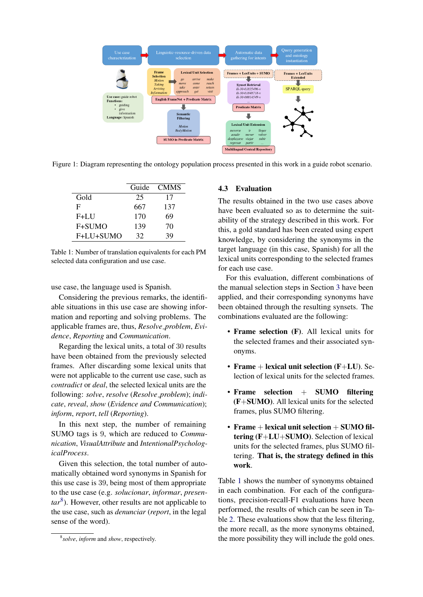<span id="page-5-0"></span>

<span id="page-5-3"></span>Figure 1: Diagram representing the ontology population process presented in this work in a guide robot scenario.

|           | Guide | <b>CMMS</b> |
|-----------|-------|-------------|
| Gold      | 25    | 17          |
| F         | 667   | 137         |
| $F+LU$    | 170   | 69          |
| F+SUMO    | 139   | 70          |
| F+LU+SUMO | 32    | 39          |

Table 1: Number of translation equivalents for each PM selected data configuration and use case.

use case, the language used is Spanish.

Considering the previous remarks, the identifiable situations in this use case are showing information and reporting and solving problems. The applicable frames are, thus, *Resolve problem*, *Evidence*, *Reporting* and *Communication*.

Regarding the lexical units, a total of 30 results have been obtained from the previously selected frames. After discarding some lexical units that were not applicable to the current use case, such as *contradict* or *deal*, the selected lexical units are the following: *solve*, *resolve* (*Resolve problem*); *indicate*, *reveal*, *show* (*Evidence and Communication*); *inform*, *report*, *tell* (*Reporting*).

In this next step, the number of remaining SUMO tags is 9, which are reduced to *Communication*, *VisualAttribute* and *IntentionalPsychologicalProcess*.

Given this selection, the total number of automatically obtained word synonyms in Spanish for this use case is 39, being most of them appropriate to the use case (e.g. *solucionar*, *informar*, *presentar*[8](#page-5-2) ). However, other results are not applicable to the use case, such as *denunciar* (*report*, in the legal sense of the word).

# <span id="page-5-1"></span>4.3 Evaluation

The results obtained in the two use cases above have been evaluated so as to determine the suitability of the strategy described in this work. For this, a gold standard has been created using expert knowledge, by considering the synonyms in the target language (in this case, Spanish) for all the lexical units corresponding to the selected frames for each use case.

For this evaluation, different combinations of the manual selection steps in Section [3](#page-2-0) have been applied, and their corresponding synonyms have been obtained through the resulting synsets. The combinations evaluated are the following:

- Frame selection (F). All lexical units for the selected frames and their associated synonyms.
- Frame + lexical unit selection (F+LU). Selection of lexical units for the selected frames.
- Frame selection  $+$  SUMO filtering (F+SUMO). All lexical units for the selected frames, plus SUMO filtering.
- Frame  $+$  lexical unit selection  $+$  SUMO filtering (F+LU+SUMO). Selection of lexical units for the selected frames, plus SUMO filtering. That is, the strategy defined in this work.

Table [1](#page-5-3) shows the number of synonyms obtained in each combination. For each of the configurations, precision-recall-F1 evaluations have been performed, the results of which can be seen in Table [2.](#page-6-1) These evaluations show that the less filtering, the more recall, as the more synonyms obtained, the more possibility they will include the gold ones.

<span id="page-5-2"></span><sup>8</sup> *solve*, *inform* and *show*, respectively.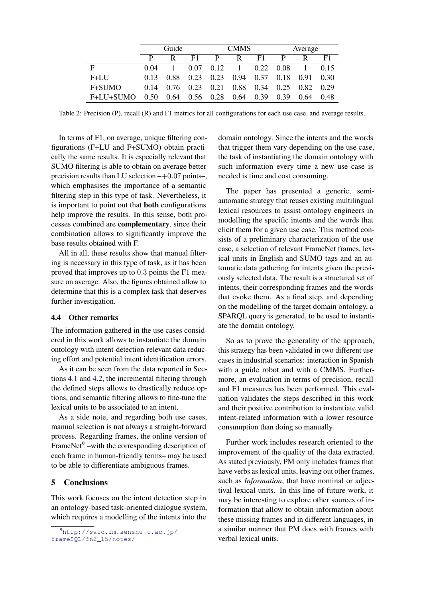<span id="page-6-1"></span>

|              | Guide |           |                      | <b>CMMS</b> |                               |      | Average   |      |        |
|--------------|-------|-----------|----------------------|-------------|-------------------------------|------|-----------|------|--------|
|              | P     | R.        | E1                   | P           | R                             | F1   | P         | R    | F1     |
| F            | 0.04  |           |                      |             | $0.07$ $0.12$ 1 $0.22$ $0.08$ |      |           |      | 0.15   |
| $F+LU$       | 0.13  |           | 0.88 0.23            | 0.23        | 0.94 0.37                     |      | 0.18      | 0.91 | - 0.30 |
| F+SUMO       | 0.14  | 0.76 0.23 |                      |             | 0.21 0.88 0.34                |      | 0.25 0.82 |      | 0.29   |
| $F+LU+STIMO$ | 0.50  |           | $0.64$ $0.56$ $0.28$ |             | 0.64                          | 0.39 | 0.39      | 0.64 | 0.48   |

Table 2: Precision (P), recall (R) and F1 metrics for all configurations for each use case, and average results.

In terms of F1, on average, unique filtering configurations (F+LU and F+SUMO) obtain practically the same results. It is especially relevant that SUMO filtering is able to obtain on average better precision results than LU selection  $-+0.07$  points–, which emphasises the importance of a semantic filtering step in this type of task. Nevertheless, it is important to point out that both configurations help improve the results. In this sense, both processes combined are complementary, since their combination allows to significantly improve the base results obtained with F.

All in all, these results show that manual filtering is necessary in this type of task, as it has been proved that improves up to 0.3 points the F1 measure on average. Also, the figures obtained allow to determine that this is a complex task that deserves further investigation.

#### 4.4 Other remarks

The information gathered in the use cases considered in this work allows to instantiate the domain ontology with intent-detection-relevant data reducing effort and potential intent identification errors.

As it can be seen from the data reported in Sections [4.1](#page-4-1) and [4.2,](#page-4-6) the incremental filtering through the defined steps allows to drastically reduce options, and semantic filtering allows to fine-tune the lexical units to be associated to an intent.

As a side note, and regarding both use cases, manual selection is not always a straight-forward process. Regarding frames, the online version of FrameNet $9$  –with the corresponding description of each frame in human-friendly terms– may be used to be able to differentiate ambiguous frames.

## <span id="page-6-0"></span>5 Conclusions

This work focuses on the intent detection step in an ontology-based task-oriented dialogue system, which requires a modelling of the intents into the domain ontology. Since the intents and the words that trigger them vary depending on the use case, the task of instantiating the domain ontology with such information every time a new use case is needed is time and cost consuming.

The paper has presented a generic, semiautomatic strategy that reuses existing multilingual lexical resources to assist ontology engineers in modelling the specific intents and the words that elicit them for a given use case. This method consists of a preliminary characterization of the use case, a selection of relevant FrameNet frames, lexical units in English and SUMO tags and an automatic data gathering for intents given the previously selected data. The result is a structured set of intents, their corresponding frames and the words that evoke them. As a final step, and depending on the modelling of the target domain ontology, a SPARQL query is generated, to be used to instantiate the domain ontology.

So as to prove the generality of the approach, this strategy has been validated in two different use cases in industrial scenarios: interaction in Spanish with a guide robot and with a CMMS. Furthermore, an evaluation in terms of precision, recall and F1 measures has been performed. This evaluation validates the steps described in this work and their positive contribution to instantiate valid intent-related information with a lower resource consumption than doing so manually.

Further work includes research oriented to the improvement of the quality of the data extracted. As stated previously, PM only includes frames that have verbs as lexical units, leaving out other frames, such as *Information*, that have nominal or adjectival lexical units. In this line of future work, it may be interesting to explore other sources of information that allow to obtain information about these missing frames and in different languages, in a similar manner that PM does with frames with verbal lexical units.

<span id="page-6-2"></span><sup>9</sup>[http://sato.fm.senshu-u.ac.jp/](http://sato.fm.senshu-u.ac.jp/frameSQL/fn2_15/notes/) [frameSQL/fn2\\_15/notes/](http://sato.fm.senshu-u.ac.jp/frameSQL/fn2_15/notes/)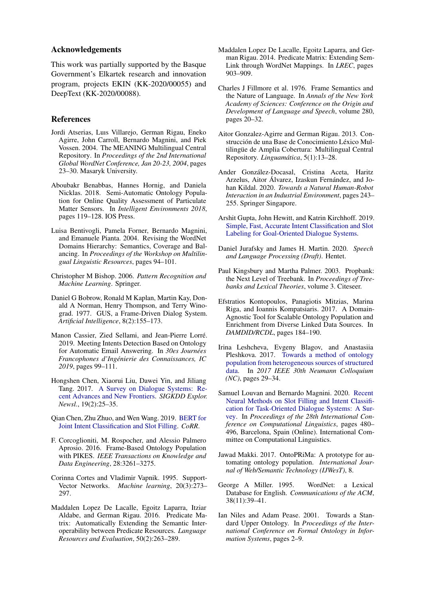#### Acknowledgements

This work was partially supported by the Basque Government's Elkartek research and innovation program, projects EKIN (KK-2020/00055) and DeepText (KK-2020/00088).

### References

- <span id="page-7-20"></span>Jordi Atserias, Luıs Villarejo, German Rigau, Eneko Agirre, John Carroll, Bernardo Magnini, and Piek Vossen. 2004. The MEANING Multilingual Central Repository. In *Proceedings of the 2nd International Global WordNet Conference, Jan 20-23, 2004*, pages 23–30. Masaryk University.
- <span id="page-7-4"></span>Aboubakr Benabbas, Hannes Hornig, and Daniela Nicklas. 2018. Semi-Automatic Ontology Population for Online Quality Assessment of Particulate Matter Sensors. In *Intelligent Environments 2018*, pages 119–128. IOS Press.
- <span id="page-7-21"></span>Luisa Bentivogli, Pamela Forner, Bernardo Magnini, and Emanuele Pianta. 2004. Revising the WordNet Domains Hierarchy: Semantics, Coverage and Balancing. In *Proceedings of the Workshop on Multilingual Linguistic Resources*, pages 94–101.
- <span id="page-7-9"></span>Christopher M Bishop. 2006. *Pattern Recognition and Machine Learning*. Springer.
- <span id="page-7-2"></span>Daniel G Bobrow, Ronald M Kaplan, Martin Kay, Donald A Norman, Henry Thompson, and Terry Winograd. 1977. GUS, a Frame-Driven Dialog System. *Artificial Intelligence*, 8(2):155–173.
- <span id="page-7-12"></span>Manon Cassier, Zied Sellami, and Jean-Pierre Lorre.´ 2019. Meeting Intents Detection Based on Ontology for Automatic Email Answering. In *30es Journees ´ Francophones d'Ingenierie des Connaissances, IC ´ 2019*, pages 99–111.
- <span id="page-7-7"></span>Hongshen Chen, Xiaorui Liu, Dawei Yin, and Jiliang Tang. 2017. [A Survey on Dialogue Systems: Re](https://doi.org/10.1145/3166054.3166058)[cent Advances and New Frontiers.](https://doi.org/10.1145/3166054.3166058) *SIGKDD Explor. Newsl.*, 19(2):25–35.
- <span id="page-7-11"></span>Qian Chen, Zhu Zhuo, and Wen Wang. 2019. [BERT for](http://arxiv.org/abs/1902.10909) [Joint Intent Classification and Slot Filling.](http://arxiv.org/abs/1902.10909) *CoRR*.
- <span id="page-7-14"></span>F. Corcoglioniti, M. Rospocher, and Alessio Palmero Aprosio. 2016. Frame-Based Ontology Population with PIKES. *IEEE Transactions on Knowledge and Data Engineering*, 28:3261–3275.
- <span id="page-7-8"></span>Corinna Cortes and Vladimir Vapnik. 1995. Support-Vector Networks. *Machine learning*, 20(3):273– 297.
- <span id="page-7-19"></span>Maddalen Lopez De Lacalle, Egoitz Laparra, Itziar Aldabe, and German Rigau. 2016. Predicate Matrix: Automatically Extending the Semantic Interoperability between Predicate Resources. *Language Resources and Evaluation*, 50(2):263–289.
- <span id="page-7-17"></span>Maddalen Lopez De Lacalle, Egoitz Laparra, and German Rigau. 2014. Predicate Matrix: Extending Sem-Link through WordNet Mappings. In *LREC*, pages 903–909.
- <span id="page-7-5"></span>Charles J Fillmore et al. 1976. Frame Semantics and the Nature of Language. In *Annals of the New York Academy of Sciences: Conference on the Origin and Development of Language and Speech*, volume 280, pages 20–32.
- <span id="page-7-22"></span>Aitor Gonzalez-Agirre and German Rigau. 2013. Construcción de una Base de Conocimiento Léxico Multilingüe de Amplia Cobertura: Multilingual Central Repository. *Linguamática*, 5(1):13–28.
- <span id="page-7-0"></span>Ander Gonzalez-Docasal, Cristina Aceta, Haritz ´ Arzelus, Aitor Álvarez, Izaskun Fernández, and Johan Kildal. 2020. *Towards a Natural Human-Robot Interaction in an Industrial Environment*, pages 243– 255. Springer Singapore.
- <span id="page-7-6"></span>Arshit Gupta, John Hewitt, and Katrin Kirchhoff. 2019. [Simple, Fast, Accurate Intent Classification and Slot](http://arxiv.org/abs/1903.08268) [Labeling for Goal-Oriented Dialogue Systems.](http://arxiv.org/abs/1903.08268)
- <span id="page-7-1"></span>Daniel Jurafsky and James H. Martin. 2020. *Speech and Language Processing (Draft)*. Hentet.
- <span id="page-7-16"></span>Paul Kingsbury and Martha Palmer. 2003. Propbank: the Next Level of Treebank. In *Proceedings of Treebanks and Lexical Theories*, volume 3. Citeseer.
- <span id="page-7-13"></span>Efstratios Kontopoulos, Panagiotis Mitzias, Marina Riga, and Ioannis Kompatsiaris. 2017. A Domain-Agnostic Tool for Scalable Ontology Population and Enrichment from Diverse Linked Data Sources. In *DAMDID/RCDL*, pages 184–190.
- <span id="page-7-15"></span>Irina Leshcheva, Evgeny Blagov, and Anastasiia Pleshkova. 2017. [Towards a method of ontology](https://doi.org/10.1109/NC.2017.8263278) [population from heterogeneous sources of structured](https://doi.org/10.1109/NC.2017.8263278) [data.](https://doi.org/10.1109/NC.2017.8263278) In *2017 IEEE 30th Neumann Colloquium (NC)*, pages 29–34.
- <span id="page-7-10"></span>Samuel Louvan and Bernardo Magnini. 2020. [Recent](https://doi.org/10.18653/v1/2020.coling-main.42) [Neural Methods on Slot Filling and Intent Classifi](https://doi.org/10.18653/v1/2020.coling-main.42)[cation for Task-Oriented Dialogue Systems: A Sur](https://doi.org/10.18653/v1/2020.coling-main.42)[vey.](https://doi.org/10.18653/v1/2020.coling-main.42) In *Proceedings of the 28th International Conference on Computational Linguistics*, pages 480– 496, Barcelona, Spain (Online). International Committee on Computational Linguistics.
- <span id="page-7-3"></span>Jawad Makki. 2017. OntoPRiMa: A prototype for automating ontology population. *International Journal of Web/Semantic Technology (IJWesT)*, 8.
- <span id="page-7-18"></span>George A Miller. 1995. WordNet: a Lexical Database for English. *Communications of the ACM*, 38(11):39–41.
- <span id="page-7-23"></span>Ian Niles and Adam Pease. 2001. Towards a Standard Upper Ontology. In *Proceedings of the International Conference on Formal Ontology in Information Systems*, pages 2–9.